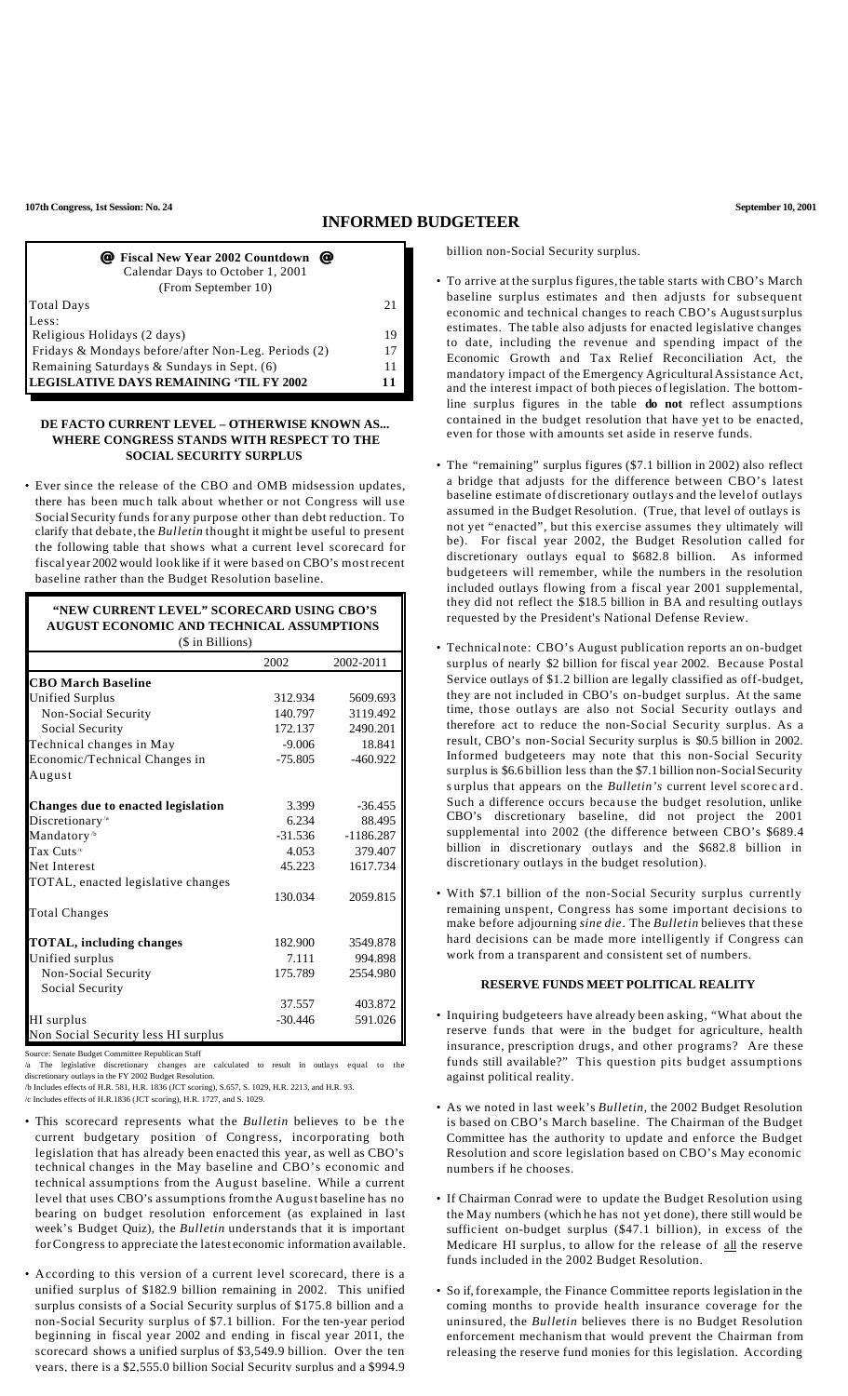**107th Congress, 1st Session: No. 24 September 10, 2001**

# **INFORMED BUDGETEER**

| <i>■</i> Fiscal New Year 2002 Countdown ■<br>Calendar Days to October 1, 2001<br>(From September 10) |    |
|------------------------------------------------------------------------------------------------------|----|
| <b>Total Days</b>                                                                                    | 21 |
| Less:                                                                                                |    |
| Religious Holidays (2 days)                                                                          | 19 |
| Fridays & Mondays before/after Non-Leg. Periods (2)                                                  | 17 |
| Remaining Saturdays & Sundays in Sept. (6)                                                           | 11 |
| LEGISLATIVE DAYS REMAINING 'TIL FY 2002                                                              | 11 |

#### **DE FACTO CURRENT LEVEL – OTHERWISE KNOWN AS... WHERE CONGRESS STANDS WITH RESPECT TO THE SOCIAL SECURITY SURPLUS**

• Ever since the release of the CBO and OMB midsession updates, there has been much talk about whether or not Congress will use SocialSecurity funds for any purpose other than debt reduction. To clarify that debate, the *Bulletin* thought it might be useful to present the following table that shows what a current level scorecard for fiscal year 2002 would look like if it were based on CBO's mostrecent baseline rather than the Budget Resolution baseline.

**"NEW CURRENT LEVEL" SCORECARD USING CBO'S AUGUST ECONOMIC AND TECHNICAL ASSUMPTIONS** (\$ in Billions) 2002 2002-2011 **CBO March Baseline** Unified Surplus Non-Social Security Social Security Technical changes in May Economic/Technical Changes in August **Changes due to enacted legislation** Discretionary<sup>/a</sup> Mandatory<sup>/b</sup> Tax Cuts<sup>\*</sup> Net Interest TOTAL, enacted legislative changes Total Changes **TOTAL, including changes** Unified surplus Non-Social Security Social Security HI surplus Non Social Security less HI surplus 312.934 140.797 172.137 -9.006 -75.805 3.399 6.234 -31.536 4.053 45.223 130.034 182.900 7.111 175.789 37.557 -30.446 5609.693 3119.492 2490.201 18.841 -460.922 -36.455 88.495 -1186.287 379.407 1617.734 2059.815 3549.878 994.898 2554.980 403.872 591.026

Source: Senate Budget Committee Republican Staff

/a The legislative discretionary changes are calculated to result in outlays equal to the discretionary outlays in the FY 2002 Budget Resolution.

/b Includes effects of H.R. 581, H.R. 1836 (JCT scoring), S.657, S. 1029, H.R. 2213, and H.R. 93.

/c Includes effects of H.R.1836 (JCT scoring), H.R. 1727, and S. 1029.

- This scorecard represents what the *Bulletin* believes to be the current budgetary position of Congress, incorporating both legislation that has already been enacted this year, as well as CBO's technical changes in the May baseline and CBO's economic and technical assumptions from the August baseline. While a current level that uses CBO's assumptions fromthe August baseline has no bearing on budget resolution enforcement (as explained in last week's Budget Quiz), the *Bulletin* understands that it is important forCongress to appreciate the latest economic information available.
- According to this version of a current level scorecard, there is a unified surplus of \$182.9 billion remaining in 2002. This unified surplus consists of a Social Security surplus of \$175.8 billion and a non-Social Security surplus of \$7.1 billion. For the ten-year period beginning in fiscal year 2002 and ending in fiscal year 2011, the scorecard shows a unified surplus of \$3,549.9 billion. Over the ten years, there is a \$2,555.0 billion Social Security surplus and a \$994.9

billion non-Social Security surplus.

- To arrive at the surplus figures,the table starts with CBO's March baseline surplus estimates and then adjusts for subsequent economic and technical changes to reach CBO's Augustsurplus estimates. The table also adjusts for enacted legislative changes to date, including the revenue and spending impact of the Economic Growth and Tax Relief Reconciliation Act, the mandatory impact of the Emergency AgriculturalAssistance Act, and the interest impact of both pieces of legislation. The bottomline surplus figures in the table **do not** reflect assumptions contained in the budget resolution that have yet to be enacted, even for those with amounts set aside in reserve funds.
- The "remaining" surplus figures (\$7.1 billion in 2002) also reflect a bridge that adjusts for the difference between CBO's latest baseline estimate of discretionary outlays and the level of outlays assumed in the Budget Resolution. (True, that level of outlays is not yet "enacted", but this exercise assumes they ultimately will be). For fiscal year 2002, the Budget Resolution called for discretionary outlays equal to \$682.8 billion. As informed budgeteers will remember, while the numbers in the resolution included outlays flowing from a fiscal year 2001 supplemental, they did not reflect the \$18.5 billion in BA and resulting outlays requested by the President's National Defense Review.
- Technical note: CBO's August publication reports an on-budget surplus of nearly \$2 billion for fiscal year 2002. Because Postal Service outlays of \$1.2 billion are legally classified as off-budget, they are not included in CBO's on-budget surplus. At the same time, those outlays are also not Social Security outlays and therefore act to reduce the non-So cial Security surplus. As a result, CBO's non-Social Security surplus is \$0.5 billion in 2002. Informed budgeteers may note that this non-Social Security surplus is \$6.6 billion less than the \$7.1 billion non-SocialSecurity s urplus that appears on the *Bulletin's* current level scorecard. Such a difference occurs because the budget resolution, unlike CBO's discretionary baseline, did not project the 2001 supplemental into 2002 (the difference between CBO's \$689.4 billion in discretionary outlays and the \$682.8 billion in discretionary outlays in the budget resolution).
- With \$7.1 billion of the non-Social Security surplus currently remaining unspent, Congress has some important decisions to make before adjourning *sine die*. The *Bulletin* believes that these hard decisions can be made more intelligently if Congress can work from a transparent and consistent set of numbers.

### **RESERVE FUNDS MEET POLITICAL REALITY**

- Inquiring budgeteers have already been asking, "What about the reserve funds that were in the budget for agriculture, health insurance, prescription drugs, and other programs? Are these funds still available?" This question pits budget assumptions against political reality.
- As we noted in last week's *Bulletin*, the 2002 Budget Resolution is based on CBO's March baseline. The Chairman of the Budget Committee has the authority to update and enforce the Budget Resolution and score legislation based on CBO's May economic numbers if he chooses.
- If Chairman Conrad were to update the Budget Resolution using the May numbers (which he has not yet done), there still would be sufficient on-budget surplus (\$47.1 billion), in excess of the Medicare HI surplus, to allow for the release of all the reserve funds included in the 2002 Budget Resolution.
- So if,for example, the Finance Committee reports legislation in the coming months to provide health insurance coverage for the uninsured, the *Bulletin* believes there is no Budget Resolution enforcement mechanism that would prevent the Chairman from releasing the reserve fund monies for this legislation. According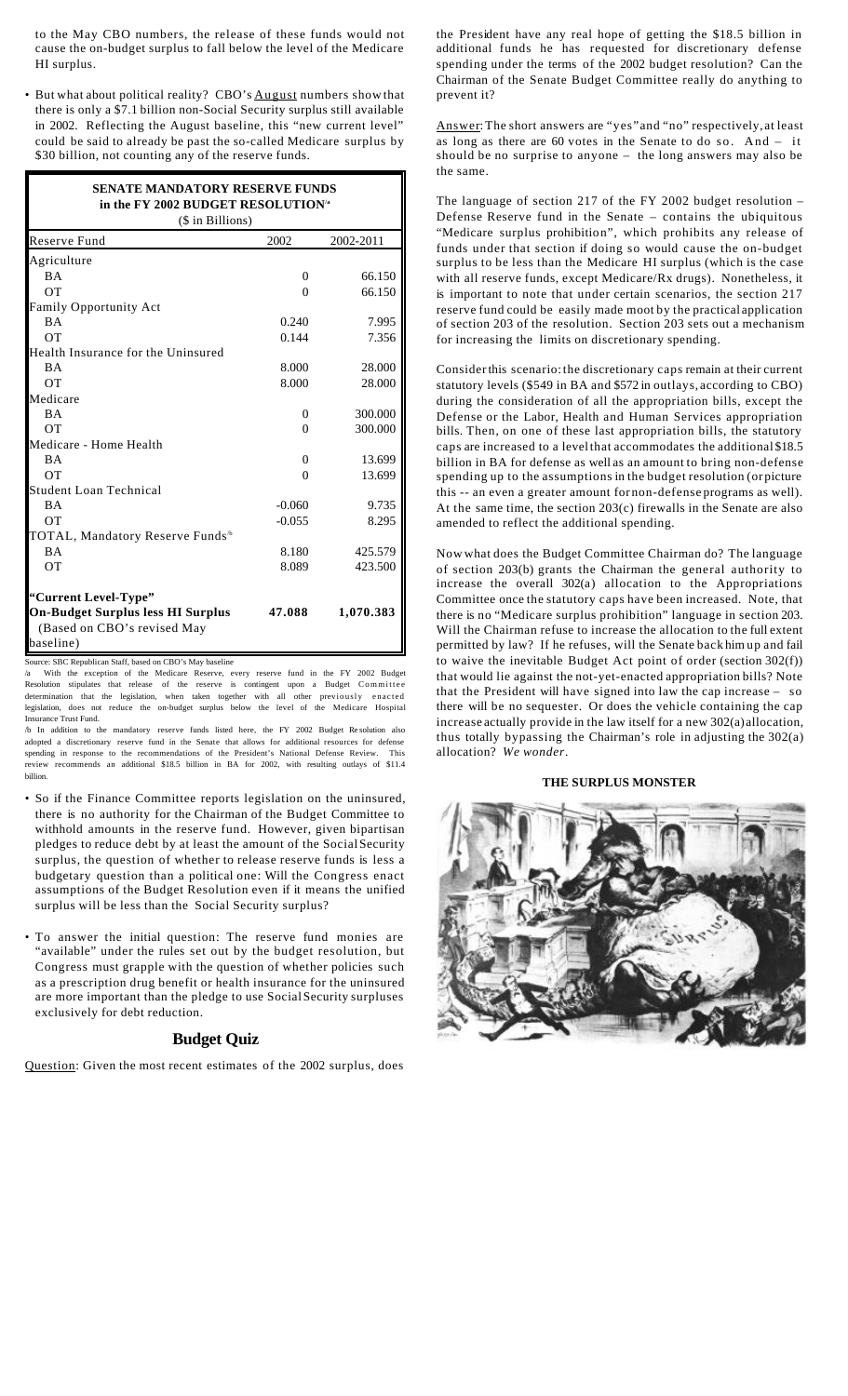to the May CBO numbers, the release of these funds would not cause the on-budget surplus to fall below the level of the Medicare HI surplus.

• But what about political reality? CBO's August numbers show that there is only a \$7.1 billion non-Social Security surplus still available in 2002. Reflecting the August baseline, this "new current level" could be said to already be past the so-called Medicare surplus by \$30 billion, not counting any of the reserve funds.

| <b>SENATE MANDATORY RESERVE FUNDS</b><br>in the FY 2002 BUDGET RESOLUTION <sup>/a</sup><br>(\$ in Billions) |          |           |  |
|-------------------------------------------------------------------------------------------------------------|----------|-----------|--|
| Reserve Fund                                                                                                | 2002     | 2002-2011 |  |
| Agriculture                                                                                                 |          |           |  |
| <b>BA</b>                                                                                                   | $\Omega$ | 66.150    |  |
| <b>OT</b>                                                                                                   | $\theta$ | 66.150    |  |
| Family Opportunity Act                                                                                      |          |           |  |
| <b>BA</b>                                                                                                   | 0.240    | 7.995     |  |
| $\overline{O}$                                                                                              | 0.144    | 7.356     |  |
| Health Insurance for the Uninsured                                                                          |          |           |  |
| <b>BA</b>                                                                                                   | 8.000    | 28.000    |  |
| <b>OT</b>                                                                                                   | 8.000    | 28.000    |  |
| Medicare                                                                                                    |          |           |  |
| <b>BA</b>                                                                                                   | 0        | 300.000   |  |
| <b>OT</b>                                                                                                   | $\Omega$ | 300.000   |  |
| Medicare - Home Health                                                                                      |          |           |  |
| <b>BA</b>                                                                                                   | $\Omega$ | 13.699    |  |
| OT                                                                                                          | $\Omega$ | 13.699    |  |
| <b>Student Loan Technical</b>                                                                               |          |           |  |
| <b>BA</b>                                                                                                   | $-0.060$ | 9.735     |  |
| <b>OT</b>                                                                                                   | $-0.055$ | 8.295     |  |
| TOTAL, Mandatory Reserve Funds <sup>16</sup>                                                                |          |           |  |
| <b>BA</b>                                                                                                   | 8.180    | 425.579   |  |
| <b>OT</b>                                                                                                   | 8.089    | 423.500   |  |
| "Current Level-Type"                                                                                        |          |           |  |
| <b>On-Budget Surplus less HI Surplus</b>                                                                    | 47.088   | 1,070.383 |  |
| (Based on CBO's revised May<br>baseline)                                                                    |          |           |  |

Source: SBC Republican Staff, based on CBO's May baseline

/a With the exception of the Medicare Reserve, every reserve fund in the FY 2002 Budget Resolution stipulates that release of the reserve is contingent upon a Budget Committee determination that the legislation, when taken together with all other previously enacted legislation, does not reduce the on-budget surplus below the level of the Medicare Hospital Insurance Trust Fund.

/b In addition to the mandatory reserve funds listed here, the FY 2002 Budget Re solution also adopted a discretionary reserve fund in the Senate that allows for additional resources for defense nding in response to the recommendations of the President's National Defense Review. This review recommends an additional \$18.5 billion in BA for 2002, with resulting outlays of \$11.4 billion.

- So if the Finance Committee reports legislation on the uninsured, there is no authority for the Chairman of the Budget Committee to withhold amounts in the reserve fund. However, given bipartisan pledges to reduce debt by at least the amount of the Social Security surplus, the question of whether to release reserve funds is less a budgetary question than a political one: Will the Congress enact assumptions of the Budget Resolution even if it means the unified surplus will be less than the Social Security surplus?
- To answer the initial question: The reserve fund monies are "available" under the rules set out by the budget resolution, but Congress must grapple with the question of whether policies such as a prescription drug benefit or health insurance for the uninsured are more important than the pledge to use SocialSecurity surpluses exclusively for debt reduction.

## **Budget Quiz**

Question: Given the most recent estimates of the 2002 surplus, does

the President have any real hope of getting the \$18.5 billion in additional funds he has requested for discretionary defense spending under the terms of the 2002 budget resolution? Can the Chairman of the Senate Budget Committee really do anything to prevent it?

Answer:The short answers are "yes"and "no" respectively, at least as long as there are 60 votes in the Senate to do so. And – it should be no surprise to anyone – the long answers may also be the same.

The language of section 217 of the FY 2002 budget resolution – Defense Reserve fund in the Senate – contains the ubiquitous "Medicare surplus prohibition", which prohibits any release of funds under that section if doing so would cause the on-budget surplus to be less than the Medicare HI surplus (which is the case with all reserve funds, except Medicare/Rx drugs). Nonetheless, it is important to note that under certain scenarios, the section 217 reserve fund could be easily made moot by the practical application of section 203 of the resolution. Section 203 sets out a mechanism for increasing the limits on discretionary spending.

Considerthis scenario:the discretionary caps remain at their current statutory levels (\$549 in BA and \$572 in outlays, according to CBO) during the consideration of all the appropriation bills, except the Defense or the Labor, Health and Human Services appropriation bills. Then, on one of these last appropriation bills, the statutory caps are increased to a levelthat accommodates the additional \$18.5 billion in BA for defense as well as an amount to bring non-defense spending up to the assumptions in the budget resolution (or picture this -- an even a greater amount for non-defense programs as well). At the same time, the section 203(c) firewalls in the Senate are also amended to reflect the additional spending.

Now what does the Budget Committee Chairman do? The language of section 203(b) grants the Chairman the general authority to increase the overall 302(a) allocation to the Appropriations Committee once the statutory caps have been increased. Note, that there is no "Medicare surplus prohibition" language in section 203. Will the Chairman refuse to increase the allocation to the full extent permitted by law? If he refuses, will the Senate back him up and fail to waive the inevitable Budget Act point of order (section 302(f)) that would lie against the not-yet-enacted appropriation bills? Note that the President will have signed into law the cap increase – so there will be no sequester. Or does the vehicle containing the cap increase actually provide in the law itself for a new 302(a)allocation, thus totally bypassing the Chairman's role in adjusting the 302(a) allocation? *We wonder*.

#### **THE SURPLUS MONSTER**